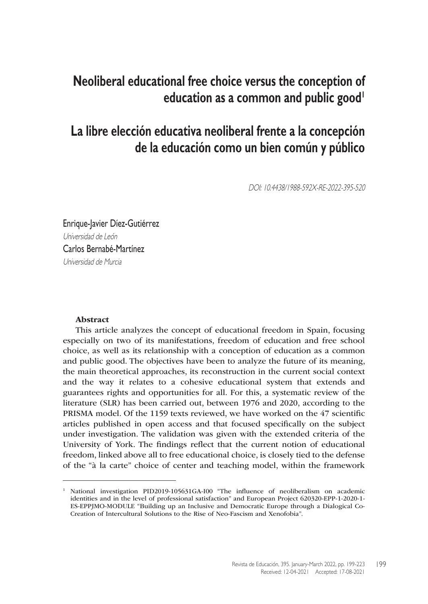# **Neoliberal educational free choice versus the conception of education as a common and public good**

# **La libre elección educativa neoliberal frente a la concepción de la educación como un bien común y público**

DOI: 10.4438/1988-592X-RE-2022-395-520

Enrique-Javier Díez-Gutiérrez Universidad de León Carlos Bernabé-Martínez Universidad de Murcia

#### Abstract

This article analyzes the concept of educational freedom in Spain, focusing especially on two of its manifestations, freedom of education and free school choice, as well as its relationship with a conception of education as a common and public good. The objectives have been to analyze the future of its meaning, the main theoretical approaches, its reconstruction in the current social context and the way it relates to a cohesive educational system that extends and guarantees rights and opportunities for all. For this, a systematic review of the literature (SLR) has been carried out, between 1976 and 2020, according to the PRISMA model. Of the 1159 texts reviewed, we have worked on the 47 scientific articles published in open access and that focused specifically on the subject under investigation. The validation was given with the extended criteria of the University of York. The findings reflect that the current notion of educational freedom, linked above all to free educational choice, is closely tied to the defense of the "à la carte" choice of center and teaching model, within the framework

<sup>1</sup> National investigation PID2019-105631GA-I00 "The influence of neoliberalism on academic identities and in the level of professional satisfaction" and European Project 620320-EPP-1-2020-1- ES-EPPJMO-MODULE "Building up an Inclusive and Democratic Europe through a Dialogical Co-Creation of Intercultural Solutions to the Rise of Neo-Fascism and Xenofobia".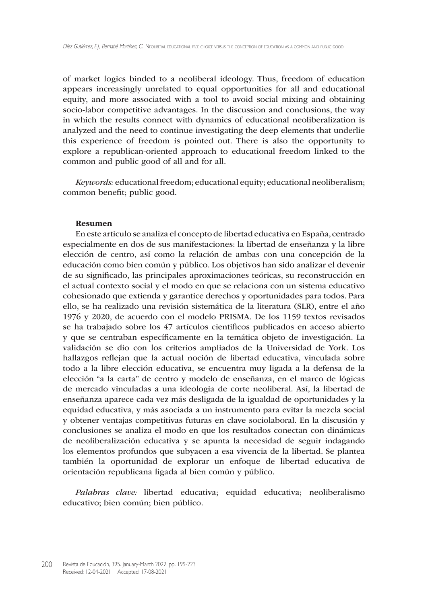of market logics binded to a neoliberal ideology. Thus, freedom of education appears increasingly unrelated to equal opportunities for all and educational equity, and more associated with a tool to avoid social mixing and obtaining socio-labor competitive advantages. In the discussion and conclusions, the way in which the results connect with dynamics of educational neoliberalization is analyzed and the need to continue investigating the deep elements that underlie this experience of freedom is pointed out. There is also the opportunity to explore a republican-oriented approach to educational freedom linked to the common and public good of all and for all.

*Keywords:* educational freedom; educational equity; educational neoliberalism; common benefit; public good.

#### Resumen

En este artículo se analiza el concepto de libertad educativa en España, centrado especialmente en dos de sus manifestaciones: la libertad de enseñanza y la libre elección de centro, así como la relación de ambas con una concepción de la educación como bien común y público. Los objetivos han sido analizar el devenir de su significado, las principales aproximaciones teóricas, su reconstrucción en el actual contexto social y el modo en que se relaciona con un sistema educativo cohesionado que extienda y garantice derechos y oportunidades para todos. Para ello, se ha realizado una revisión sistemática de la literatura (SLR), entre el año 1976 y 2020, de acuerdo con el modelo PRISMA. De los 1159 textos revisados se ha trabajado sobre los 47 artículos científicos publicados en acceso abierto y que se centraban específicamente en la temática objeto de investigación. La validación se dio con los criterios ampliados de la Universidad de York. Los hallazgos reflejan que la actual noción de libertad educativa, vinculada sobre todo a la libre elección educativa, se encuentra muy ligada a la defensa de la elección "a la carta" de centro y modelo de enseñanza, en el marco de lógicas de mercado vinculadas a una ideología de corte neoliberal. Así, la libertad de enseñanza aparece cada vez más desligada de la igualdad de oportunidades y la equidad educativa, y más asociada a un instrumento para evitar la mezcla social y obtener ventajas competitivas futuras en clave sociolaboral. En la discusión y conclusiones se analiza el modo en que los resultados conectan con dinámicas de neoliberalización educativa y se apunta la necesidad de seguir indagando los elementos profundos que subyacen a esa vivencia de la libertad. Se plantea también la oportunidad de explorar un enfoque de libertad educativa de orientación republicana ligada al bien común y público.

*Palabras clave:* libertad educativa; equidad educativa; neoliberalismo educativo; bien común; bien público.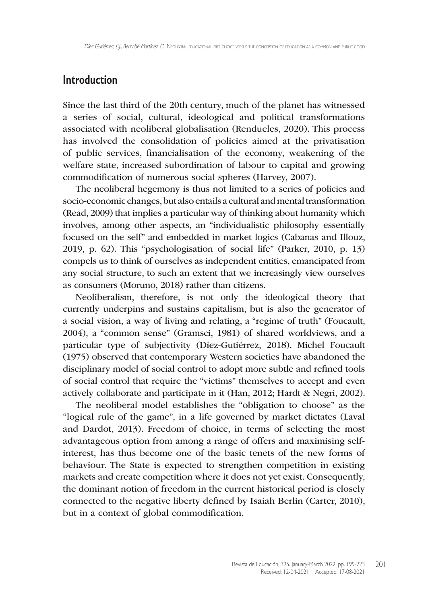## **Introduction**

Since the last third of the 20th century, much of the planet has witnessed a series of social, cultural, ideological and political transformations associated with neoliberal globalisation (Rendueles, 2020). This process has involved the consolidation of policies aimed at the privatisation of public services, financialisation of the economy, weakening of the welfare state, increased subordination of labour to capital and growing commodification of numerous social spheres (Harvey, 2007).

The neoliberal hegemony is thus not limited to a series of policies and socio-economic changes, but also entails a cultural and mental transformation (Read, 2009) that implies a particular way of thinking about humanity which involves, among other aspects, an "individualistic philosophy essentially focused on the self" and embedded in market logics (Cabanas and Illouz, 2019, p. 62). This "psychologisation of social life" (Parker, 2010, p. 13) compels us to think of ourselves as independent entities, emancipated from any social structure, to such an extent that we increasingly view ourselves as consumers (Moruno, 2018) rather than citizens.

Neoliberalism, therefore, is not only the ideological theory that currently underpins and sustains capitalism, but is also the generator of a social vision, a way of living and relating, a "regime of truth" (Foucault, 2004), a "common sense" (Gramsci, 1981) of shared worldviews, and a particular type of subjectivity (Díez-Gutiérrez, 2018). Michel Foucault (1975) observed that contemporary Western societies have abandoned the disciplinary model of social control to adopt more subtle and refined tools of social control that require the "victims" themselves to accept and even actively collaborate and participate in it (Han, 2012; Hardt & Negri, 2002).

The neoliberal model establishes the "obligation to choose" as the "logical rule of the game", in a life governed by market dictates (Laval and Dardot, 2013). Freedom of choice, in terms of selecting the most advantageous option from among a range of offers and maximising selfinterest, has thus become one of the basic tenets of the new forms of behaviour. The State is expected to strengthen competition in existing markets and create competition where it does not yet exist. Consequently, the dominant notion of freedom in the current historical period is closely connected to the negative liberty defined by Isaiah Berlin (Carter, 2010), but in a context of global commodification.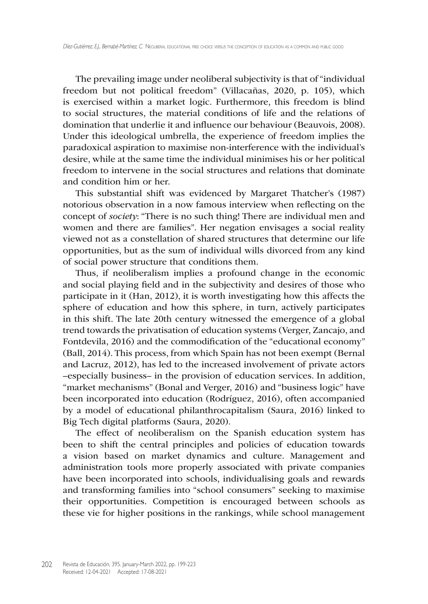The prevailing image under neoliberal subjectivity is that of "individual freedom but not political freedom" (Villacañas, 2020, p. 105), which is exercised within a market logic. Furthermore, this freedom is blind to social structures, the material conditions of life and the relations of domination that underlie it and influence our behaviour (Beauvois, 2008). Under this ideological umbrella, the experience of freedom implies the paradoxical aspiration to maximise non-interference with the individual's desire, while at the same time the individual minimises his or her political freedom to intervene in the social structures and relations that dominate and condition him or her.

This substantial shift was evidenced by Margaret Thatcher's (1987) notorious observation in a now famous interview when reflecting on the concept of *society*: "There is no such thing! There are individual men and women and there are families". Her negation envisages a social reality viewed not as a constellation of shared structures that determine our life opportunities, but as the sum of individual wills divorced from any kind of social power structure that conditions them.

Thus, if neoliberalism implies a profound change in the economic and social playing field and in the subjectivity and desires of those who participate in it (Han, 2012), it is worth investigating how this affects the sphere of education and how this sphere, in turn, actively participates in this shift. The late 20th century witnessed the emergence of a global trend towards the privatisation of education systems (Verger, Zancajo, and Fontdevila, 2016) and the commodification of the "educational economy" (Ball, 2014). This process, from which Spain has not been exempt (Bernal and Lacruz, 2012), has led to the increased involvement of private actors –especially business– in the provision of education services. In addition, "market mechanisms" (Bonal and Verger, 2016) and "business logic" have been incorporated into education (Rodríguez, 2016), often accompanied by a model of educational philanthrocapitalism (Saura, 2016) linked to Big Tech digital platforms (Saura, 2020).

The effect of neoliberalism on the Spanish education system has been to shift the central principles and policies of education towards a vision based on market dynamics and culture. Management and administration tools more properly associated with private companies have been incorporated into schools, individualising goals and rewards and transforming families into "school consumers" seeking to maximise their opportunities. Competition is encouraged between schools as these vie for higher positions in the rankings, while school management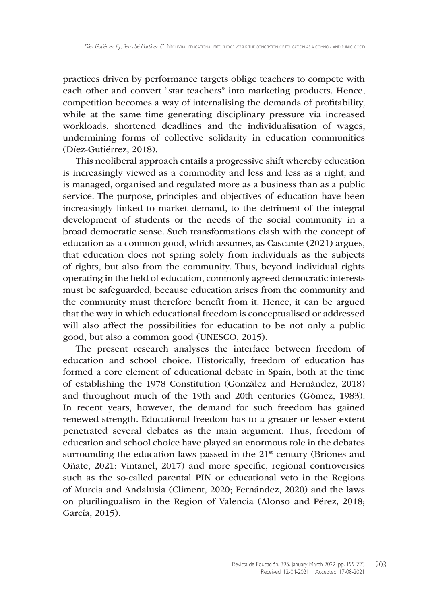practices driven by performance targets oblige teachers to compete with each other and convert "star teachers" into marketing products. Hence, competition becomes a way of internalising the demands of profitability, while at the same time generating disciplinary pressure via increased workloads, shortened deadlines and the individualisation of wages, undermining forms of collective solidarity in education communities (Díez-Gutiérrez, 2018).

This neoliberal approach entails a progressive shift whereby education is increasingly viewed as a commodity and less and less as a right, and is managed, organised and regulated more as a business than as a public service. The purpose, principles and objectives of education have been increasingly linked to market demand, to the detriment of the integral development of students or the needs of the social community in a broad democratic sense. Such transformations clash with the concept of education as a common good, which assumes, as Cascante (2021) argues, that education does not spring solely from individuals as the subjects of rights, but also from the community. Thus, beyond individual rights operating in the field of education, commonly agreed democratic interests must be safeguarded, because education arises from the community and the community must therefore benefit from it. Hence, it can be argued that the way in which educational freedom is conceptualised or addressed will also affect the possibilities for education to be not only a public good, but also a common good (UNESCO, 2015).

The present research analyses the interface between freedom of education and school choice. Historically, freedom of education has formed a core element of educational debate in Spain, both at the time of establishing the 1978 Constitution (González and Hernández, 2018) and throughout much of the 19th and 20th centuries (Gómez, 1983). In recent years, however, the demand for such freedom has gained renewed strength. Educational freedom has to a greater or lesser extent penetrated several debates as the main argument. Thus, freedom of education and school choice have played an enormous role in the debates surrounding the education laws passed in the  $21<sup>st</sup>$  century (Briones and Oñate, 2021; Vintanel, 2017) and more specific, regional controversies such as the so-called parental PIN or educational veto in the Regions of Murcia and Andalusia (Climent, 2020; Fernández, 2020) and the laws on plurilingualism in the Region of Valencia (Alonso and Pérez, 2018; García, 2015).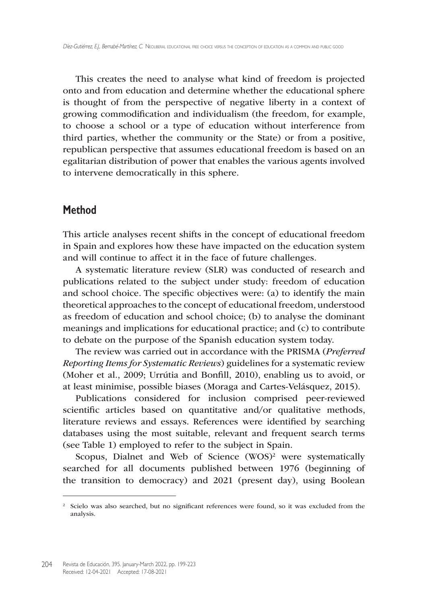This creates the need to analyse what kind of freedom is projected onto and from education and determine whether the educational sphere is thought of from the perspective of negative liberty in a context of growing commodification and individualism (the freedom, for example, to choose a school or a type of education without interference from third parties, whether the community or the State) or from a positive, republican perspective that assumes educational freedom is based on an egalitarian distribution of power that enables the various agents involved to intervene democratically in this sphere.

### **Method**

This article analyses recent shifts in the concept of educational freedom in Spain and explores how these have impacted on the education system and will continue to affect it in the face of future challenges.

A systematic literature review (SLR) was conducted of research and publications related to the subject under study: freedom of education and school choice. The specific objectives were: (a) to identify the main theoretical approaches to the concept of educational freedom, understood as freedom of education and school choice; (b) to analyse the dominant meanings and implications for educational practice; and (c) to contribute to debate on the purpose of the Spanish education system today.

The review was carried out in accordance with the PRISMA (*Preferred Reporting Items for Systematic Reviews*) guidelines for a systematic review (Moher et al., 2009; Urrútia and Bonfill, 2010), enabling us to avoid, or at least minimise, possible biases (Moraga and Cartes-Velásquez, 2015).

Publications considered for inclusion comprised peer-reviewed scientific articles based on quantitative and/or qualitative methods, literature reviews and essays. References were identified by searching databases using the most suitable, relevant and frequent search terms (see Table 1) employed to refer to the subject in Spain.

Scopus, Dialnet and Web of Science  $(WOS)^2$  were systematically searched for all documents published between 1976 (beginning of the transition to democracy) and 2021 (present day), using Boolean

<sup>&</sup>lt;sup>2</sup> Scielo was also searched, but no significant references were found, so it was excluded from the analysis.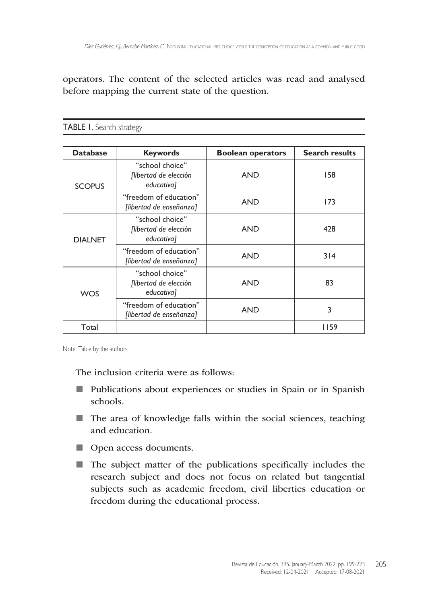operators. The content of the selected articles was read and analysed before mapping the current state of the question.

| <b>Database</b> | <b>Keywords</b>                                        | <b>Boolean operators</b> | <b>Search results</b> |
|-----------------|--------------------------------------------------------|--------------------------|-----------------------|
| <b>SCOPUS</b>   | "school choice"<br>[libertad de elección<br>educativa] | <b>AND</b>               | 158                   |
|                 | "freedom of education"<br>[libertad de enseñanza]      | <b>AND</b>               | 173                   |
| <b>DIALNET</b>  | "school choice"<br>[libertad de elección<br>educativa] | <b>AND</b>               | 428                   |
|                 | "freedom of education"<br>[libertad de enseñanza]      | <b>AND</b>               | 314                   |
| <b>WOS</b>      | "school choice"<br>[libertad de elección<br>educativa] | <b>AND</b>               | 83                    |
|                 | "freedom of education"<br>[libertad de enseñanza]      | <b>AND</b>               | 3                     |
| Total           |                                                        |                          | 1159                  |

TABLE 1. Search strategy

Note: Table by the authors.

The inclusion criteria were as follows:

- Publications about experiences or studies in Spain or in Spanish schools.
- The area of knowledge falls within the social sciences, teaching and education.
- Open access documents.
- The subject matter of the publications specifically includes the research subject and does not focus on related but tangential subjects such as academic freedom, civil liberties education or freedom during the educational process.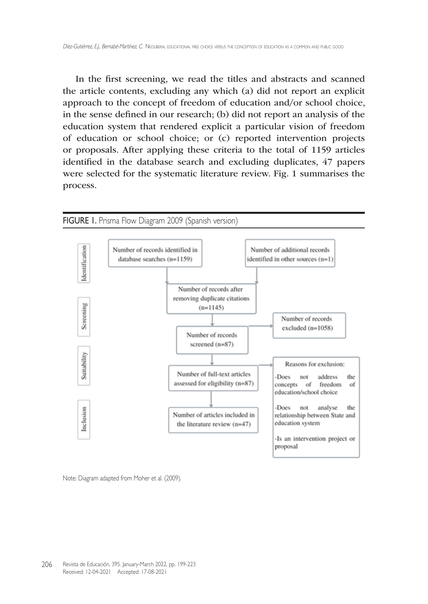In the first screening, we read the titles and abstracts and scanned the article contents, excluding any which (a) did not report an explicit approach to the concept of freedom of education and/or school choice, in the sense defined in our research; (b) did not report an analysis of the education system that rendered explicit a particular vision of freedom of education or school choice; or (c) reported intervention projects or proposals. After applying these criteria to the total of 1159 articles identified in the database search and excluding duplicates, 47 papers were selected for the systematic literature review. Fig. 1 summarises the process.



Note: Diagram adapted from Moher et al. (2009).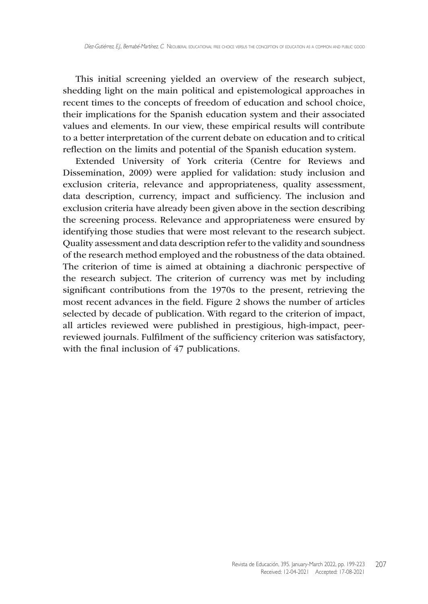This initial screening yielded an overview of the research subject, shedding light on the main political and epistemological approaches in recent times to the concepts of freedom of education and school choice, their implications for the Spanish education system and their associated values and elements. In our view, these empirical results will contribute to a better interpretation of the current debate on education and to critical reflection on the limits and potential of the Spanish education system.

Extended University of York criteria (Centre for Reviews and Dissemination, 2009) were applied for validation: study inclusion and exclusion criteria, relevance and appropriateness, quality assessment, data description, currency, impact and sufficiency. The inclusion and exclusion criteria have already been given above in the section describing the screening process. Relevance and appropriateness were ensured by identifying those studies that were most relevant to the research subject. Quality assessment and data description refer to the validity and soundness of the research method employed and the robustness of the data obtained. The criterion of time is aimed at obtaining a diachronic perspective of the research subject. The criterion of currency was met by including significant contributions from the 1970s to the present, retrieving the most recent advances in the field. Figure 2 shows the number of articles selected by decade of publication. With regard to the criterion of impact, all articles reviewed were published in prestigious, high-impact, peerreviewed journals. Fulfilment of the sufficiency criterion was satisfactory, with the final inclusion of 47 publications.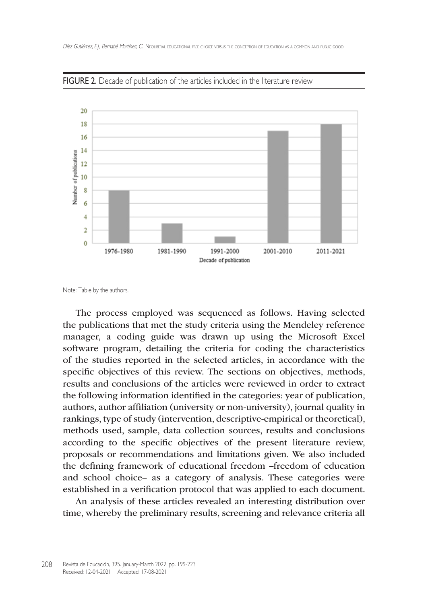

FIGURE 2. Decade of publication of the articles included in the literature review

The process employed was sequenced as follows. Having selected the publications that met the study criteria using the Mendeley reference manager, a coding guide was drawn up using the Microsoft Excel software program, detailing the criteria for coding the characteristics of the studies reported in the selected articles, in accordance with the specific objectives of this review. The sections on objectives, methods, results and conclusions of the articles were reviewed in order to extract the following information identified in the categories: year of publication, authors, author affiliation (university or non-university), journal quality in rankings, type of study (intervention, descriptive-empirical or theoretical), methods used, sample, data collection sources, results and conclusions according to the specific objectives of the present literature review, proposals or recommendations and limitations given. We also included the defining framework of educational freedom –freedom of education and school choice– as a category of analysis. These categories were established in a verification protocol that was applied to each document.

An analysis of these articles revealed an interesting distribution over time, whereby the preliminary results, screening and relevance criteria all

Note: Table by the authors.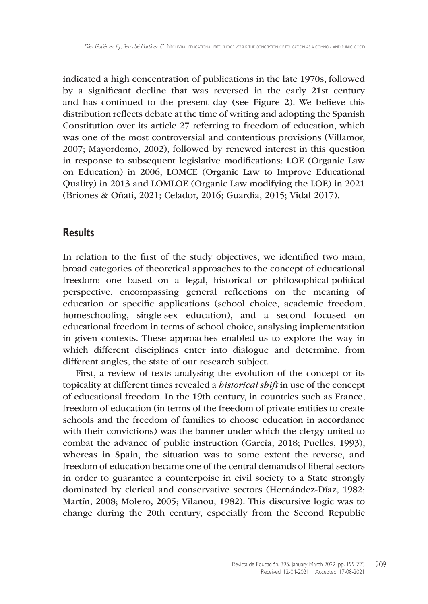indicated a high concentration of publications in the late 1970s, followed by a significant decline that was reversed in the early 21st century and has continued to the present day (see Figure 2). We believe this distribution reflects debate at the time of writing and adopting the Spanish Constitution over its article 27 referring to freedom of education, which was one of the most controversial and contentious provisions (Villamor, 2007; Mayordomo, 2002), followed by renewed interest in this question in response to subsequent legislative modifications: LOE (Organic Law on Education) in 2006, LOMCE (Organic Law to Improve Educational Quality) in 2013 and LOMLOE (Organic Law modifying the LOE) in 2021 (Briones & Oñati, 2021; Celador, 2016; Guardia, 2015; Vidal 2017).

### **Results**

In relation to the first of the study objectives, we identified two main, broad categories of theoretical approaches to the concept of educational freedom: one based on a legal, historical or philosophical-political perspective, encompassing general reflections on the meaning of education or specific applications (school choice, academic freedom, homeschooling, single-sex education), and a second focused on educational freedom in terms of school choice, analysing implementation in given contexts. These approaches enabled us to explore the way in which different disciplines enter into dialogue and determine, from different angles, the state of our research subject.

First, a review of texts analysing the evolution of the concept or its topicality at different times revealed a *historical shift* in use of the concept of educational freedom. In the 19th century, in countries such as France, freedom of education (in terms of the freedom of private entities to create schools and the freedom of families to choose education in accordance with their convictions) was the banner under which the clergy united to combat the advance of public instruction (García, 2018; Puelles, 1993), whereas in Spain, the situation was to some extent the reverse, and freedom of education became one of the central demands of liberal sectors in order to guarantee a counterpoise in civil society to a State strongly dominated by clerical and conservative sectors (Hernández-Díaz, 1982; Martín, 2008; Molero, 2005; Vilanou, 1982). This discursive logic was to change during the 20th century, especially from the Second Republic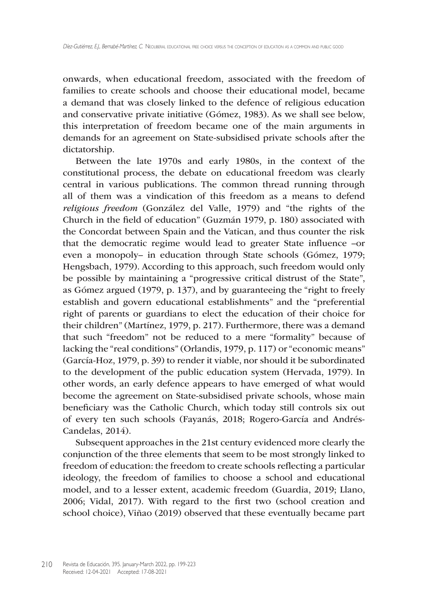onwards, when educational freedom, associated with the freedom of families to create schools and choose their educational model, became a demand that was closely linked to the defence of religious education and conservative private initiative (Gómez, 1983). As we shall see below, this interpretation of freedom became one of the main arguments in demands for an agreement on State-subsidised private schools after the dictatorship.

Between the late 1970s and early 1980s, in the context of the constitutional process, the debate on educational freedom was clearly central in various publications. The common thread running through all of them was a vindication of this freedom as a means to defend *religious freedom* (González del Valle, 1979) and "the rights of the Church in the field of education" (Guzmán 1979, p. 180) associated with the Concordat between Spain and the Vatican, and thus counter the risk that the democratic regime would lead to greater State influence –or even a monopoly– in education through State schools (Gómez, 1979; Hengsbach, 1979). According to this approach, such freedom would only be possible by maintaining a "progressive critical distrust of the State", as Gómez argued (1979, p. 137), and by guaranteeing the "right to freely establish and govern educational establishments" and the "preferential right of parents or guardians to elect the education of their choice for their children" (Martínez, 1979, p. 217). Furthermore, there was a demand that such "freedom" not be reduced to a mere "formality" because of lacking the "real conditions" (Orlandis, 1979, p. 117) or "economic means" (García-Hoz, 1979, p. 39) to render it viable, nor should it be subordinated to the development of the public education system (Hervada, 1979). In other words, an early defence appears to have emerged of what would become the agreement on State-subsidised private schools, whose main beneficiary was the Catholic Church, which today still controls six out of every ten such schools (Fayanás, 2018; Rogero-García and Andrés-Candelas, 2014).

Subsequent approaches in the 21st century evidenced more clearly the conjunction of the three elements that seem to be most strongly linked to freedom of education: the freedom to create schools reflecting a particular ideology, the freedom of families to choose a school and educational model, and to a lesser extent, academic freedom (Guardia, 2019; Llano, 2006; Vidal, 2017). With regard to the first two (school creation and school choice), Viñao (2019) observed that these eventually became part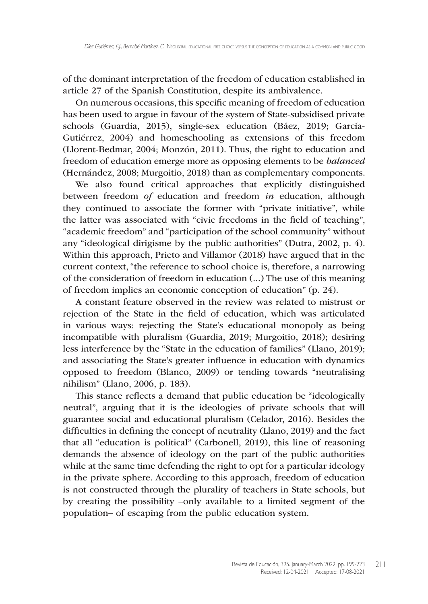of the dominant interpretation of the freedom of education established in article 27 of the Spanish Constitution, despite its ambivalence.

On numerous occasions, this specific meaning of freedom of education has been used to argue in favour of the system of State-subsidised private schools (Guardia, 2015), single-sex education (Báez, 2019; García-Gutiérrez, 2004) and homeschooling as extensions of this freedom (Llorent-Bedmar, 2004; Monzón, 2011). Thus, the right to education and freedom of education emerge more as opposing elements to be *balanced*  (Hernández, 2008; Murgoitio, 2018) than as complementary components.

We also found critical approaches that explicitly distinguished between freedom *of* education and freedom *in* education, although they continued to associate the former with "private initiative", while the latter was associated with "civic freedoms in the field of teaching", "academic freedom" and "participation of the school community" without any "ideological dirigisme by the public authorities" (Dutra, 2002, p. 4). Within this approach, Prieto and Villamor (2018) have argued that in the current context, "the reference to school choice is, therefore, a narrowing of the consideration of freedom in education (...) The use of this meaning of freedom implies an economic conception of education" (p. 24).

A constant feature observed in the review was related to mistrust or rejection of the State in the field of education, which was articulated in various ways: rejecting the State's educational monopoly as being incompatible with pluralism (Guardia, 2019; Murgoitio, 2018); desiring less interference by the "State in the education of families" (Llano, 2019); and associating the State's greater influence in education with dynamics opposed to freedom (Blanco, 2009) or tending towards "neutralising nihilism" (Llano, 2006, p. 183).

This stance reflects a demand that public education be "ideologically neutral", arguing that it is the ideologies of private schools that will guarantee social and educational pluralism (Celador, 2016). Besides the difficulties in defining the concept of neutrality (Llano, 2019) and the fact that all "education is political" (Carbonell, 2019), this line of reasoning demands the absence of ideology on the part of the public authorities while at the same time defending the right to opt for a particular ideology in the private sphere. According to this approach, freedom of education is not constructed through the plurality of teachers in State schools, but by creating the possibility –only available to a limited segment of the population– of escaping from the public education system.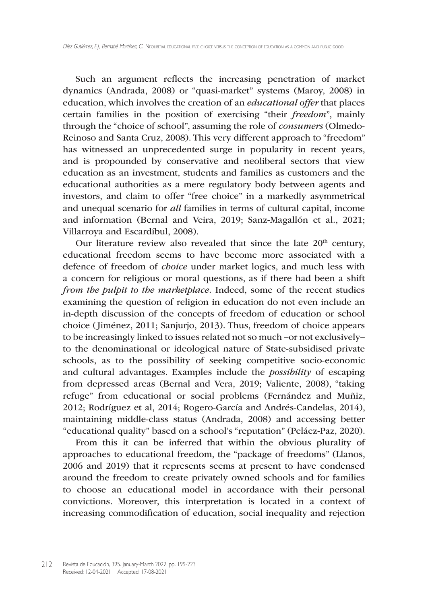Such an argument reflects the increasing penetration of market dynamics (Andrada, 2008) or "quasi-market" systems (Maroy, 2008) in education, which involves the creation of an *educational offer* that places certain families in the position of exercising "their *freedom*", mainly through the "choice of school", assuming the role of *consumers* (Olmedo-Reinoso and Santa Cruz, 2008). This very different approach to "freedom" has witnessed an unprecedented surge in popularity in recent years, and is propounded by conservative and neoliberal sectors that view education as an investment, students and families as customers and the educational authorities as a mere regulatory body between agents and investors, and claim to offer "free choice" in a markedly asymmetrical and unequal scenario for *all* families in terms of cultural capital, income and information (Bernal and Veira, 2019; Sanz-Magallón et al., 2021; Villarroya and Escardíbul, 2008).

Our literature review also revealed that since the late  $20<sup>th</sup>$  century, educational freedom seems to have become more associated with a defence of freedom of *choice* under market logics, and much less with a concern for religious or moral questions, as if there had been a shift *from the pulpit to the marketplace*. Indeed, some of the recent studies examining the question of religion in education do not even include an in-depth discussion of the concepts of freedom of education or school choice (Jiménez, 2011; Sanjurjo, 2013). Thus, freedom of choice appears to be increasingly linked to issues related not so much –or not exclusively– to the denominational or ideological nature of State-subsidised private schools, as to the possibility of seeking competitive socio-economic and cultural advantages. Examples include the *possibility* of escaping from depressed areas (Bernal and Vera, 2019; Valiente, 2008), "taking refuge" from educational or social problems (Fernández and Muñiz, 2012; Rodríguez et al, 2014; Rogero-García and Andrés-Candelas, 2014), maintaining middle-class status (Andrada, 2008) and accessing better "educational quality" based on a school's "reputation" (Peláez-Paz, 2020).

From this it can be inferred that within the obvious plurality of approaches to educational freedom, the "package of freedoms" (Llanos, 2006 and 2019) that it represents seems at present to have condensed around the freedom to create privately owned schools and for families to choose an educational model in accordance with their personal convictions. Moreover, this interpretation is located in a context of increasing commodification of education, social inequality and rejection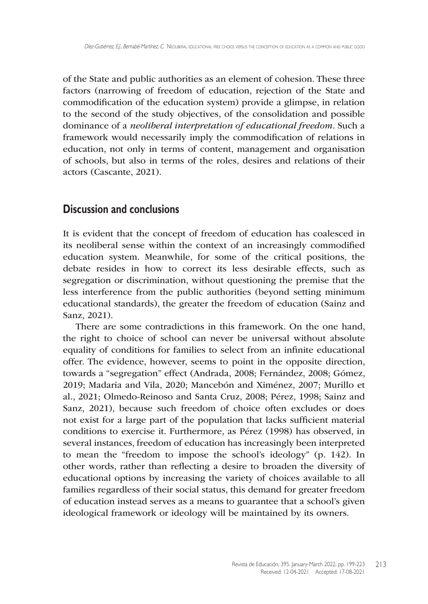of the State and public authorities as an element of cohesion. These three factors (narrowing of freedom of education, rejection of the State and commodification of the education system) provide a glimpse, in relation to the second of the study objectives, of the consolidation and possible dominance of a *neoliberal interpretation of educational freedom*. Such a framework would necessarily imply the commodification of relations in education, not only in terms of content, management and organisation of schools, but also in terms of the roles, desires and relations of their actors (Cascante, 2021).

## **Discussion and conclusions**

It is evident that the concept of freedom of education has coalesced in its neoliberal sense within the context of an increasingly commodified education system. Meanwhile, for some of the critical positions, the debate resides in how to correct its less desirable effects, such as segregation or discrimination, without questioning the premise that the less interference from the public authorities (beyond setting minimum educational standards), the greater the freedom of education (Sainz and Sanz, 2021).

There are some contradictions in this framework. On the one hand, the right to choice of school can never be universal without absolute equality of conditions for families to select from an infinite educational offer. The evidence, however, seems to point in the opposite direction, towards a "segregation" effect (Andrada, 2008; Fernández, 2008; Gómez, 2019; Madaria and Vila, 2020; Mancebón and Ximénez, 2007; Murillo et al., 2021; Olmedo-Reinoso and Santa Cruz, 2008; Pérez, 1998; Sainz and Sanz, 2021), because such freedom of choice often excludes or does not exist for a large part of the population that lacks sufficient material conditions to exercise it. Furthermore, as Pérez (1998) has observed, in several instances, freedom of education has increasingly been interpreted to mean the "freedom to impose the school's ideology" (p. 142). In other words, rather than reflecting a desire to broaden the diversity of educational options by increasing the variety of choices available to all families regardless of their social status, this demand for greater freedom of education instead serves as a means to guarantee that a school's given ideological framework or ideology will be maintained by its owners.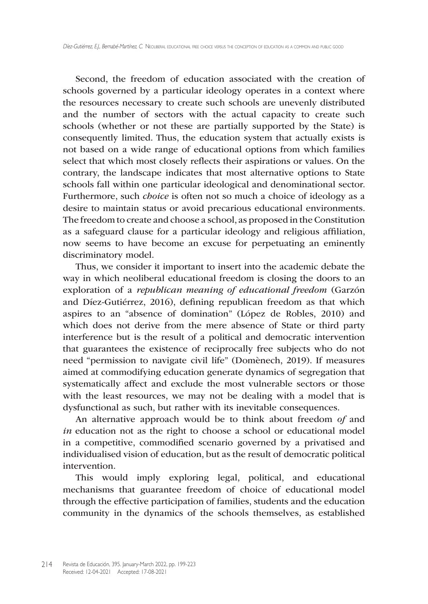Second, the freedom of education associated with the creation of schools governed by a particular ideology operates in a context where the resources necessary to create such schools are unevenly distributed and the number of sectors with the actual capacity to create such schools (whether or not these are partially supported by the State) is consequently limited. Thus, the education system that actually exists is not based on a wide range of educational options from which families select that which most closely reflects their aspirations or values. On the contrary, the landscape indicates that most alternative options to State schools fall within one particular ideological and denominational sector. Furthermore, such *choice* is often not so much a choice of ideology as a desire to maintain status or avoid precarious educational environments. The freedom to create and choose a school, as proposed in the Constitution as a safeguard clause for a particular ideology and religious affiliation, now seems to have become an excuse for perpetuating an eminently discriminatory model.

Thus, we consider it important to insert into the academic debate the way in which neoliberal educational freedom is closing the doors to an exploration of a *republican meaning of educational freedom* (Garzón and Díez-Gutiérrez, 2016), defining republican freedom as that which aspires to an "absence of domination" (López de Robles, 2010) and which does not derive from the mere absence of State or third party interference but is the result of a political and democratic intervention that guarantees the existence of reciprocally free subjects who do not need "permission to navigate civil life" (Domènech, 2019). If measures aimed at commodifying education generate dynamics of segregation that systematically affect and exclude the most vulnerable sectors or those with the least resources, we may not be dealing with a model that is dysfunctional as such, but rather with its inevitable consequences.

An alternative approach would be to think about freedom *of* and *in* education not as the right to choose a school or educational model in a competitive, commodified scenario governed by a privatised and individualised vision of education, but as the result of democratic political intervention.

This would imply exploring legal, political, and educational mechanisms that guarantee freedom of choice of educational model through the effective participation of families, students and the education community in the dynamics of the schools themselves, as established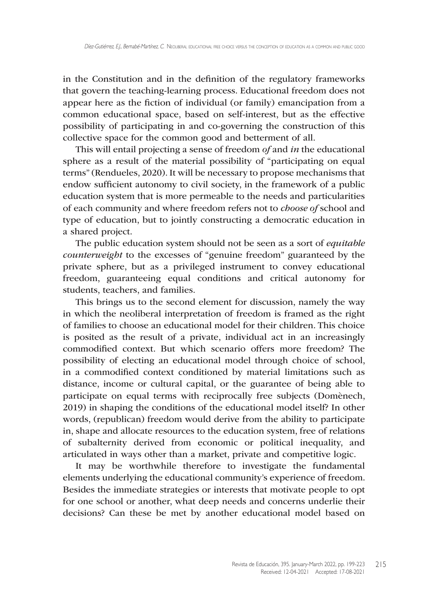in the Constitution and in the definition of the regulatory frameworks that govern the teaching-learning process. Educational freedom does not appear here as the fiction of individual (or family) emancipation from a common educational space, based on self-interest, but as the effective possibility of participating in and co-governing the construction of this collective space for the common good and betterment of all.

This will entail projecting a sense of freedom *of* and *in* the educational sphere as a result of the material possibility of "participating on equal terms" (Rendueles, 2020). It will be necessary to propose mechanisms that endow sufficient autonomy to civil society, in the framework of a public education system that is more permeable to the needs and particularities of each community and where freedom refers not to *choose of* school and type of education, but to jointly constructing a democratic education in a shared project.

The public education system should not be seen as a sort of *equitable counterweight* to the excesses of "genuine freedom" guaranteed by the private sphere, but as a privileged instrument to convey educational freedom, guaranteeing equal conditions and critical autonomy for students, teachers, and families.

This brings us to the second element for discussion, namely the way in which the neoliberal interpretation of freedom is framed as the right of families to choose an educational model for their children. This choice is posited as the result of a private, individual act in an increasingly commodified context. But which scenario offers more freedom? The possibility of electing an educational model through choice of school, in a commodified context conditioned by material limitations such as distance, income or cultural capital, or the guarantee of being able to participate on equal terms with reciprocally free subjects (Domènech, 2019) in shaping the conditions of the educational model itself? In other words, (republican) freedom would derive from the ability to participate in, shape and allocate resources to the education system, free of relations of subalternity derived from economic or political inequality, and articulated in ways other than a market, private and competitive logic.

It may be worthwhile therefore to investigate the fundamental elements underlying the educational community's experience of freedom. Besides the immediate strategies or interests that motivate people to opt for one school or another, what deep needs and concerns underlie their decisions? Can these be met by another educational model based on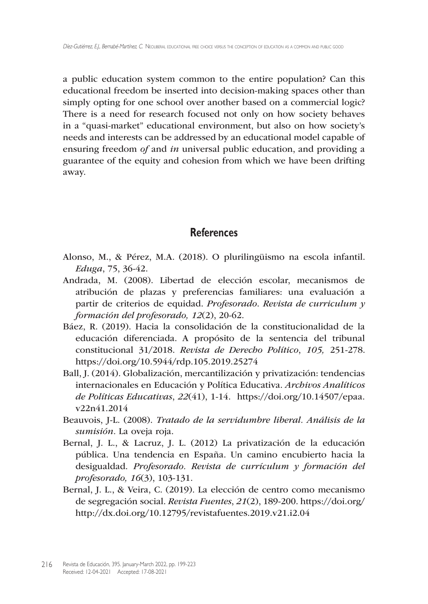a public education system common to the entire population? Can this educational freedom be inserted into decision-making spaces other than simply opting for one school over another based on a commercial logic? There is a need for research focused not only on how society behaves in a "quasi-market" educational environment, but also on how society's needs and interests can be addressed by an educational model capable of ensuring freedom *of* and *in* universal public education, and providing a guarantee of the equity and cohesion from which we have been drifting away.

### **References**

- Alonso, M., & Pérez, M.A. (2018). O plurilingüismo na escola infantil. *Eduga*, 75, 36-42.
- Andrada, M. (2008). Libertad de elección escolar, mecanismos de atribución de plazas y preferencias familiares: una evaluación a partir de criterios de equidad. *Profesorado*. *Revista de curriculum y formación del profesorado, 12*(2), 20-62.
- Báez, R. (2019). Hacia la consolidación de la constitucionalidad de la educación diferenciada. A propósito de la sentencia del tribunal constitucional 31/2018. *Revista de Derecho Político*, *105,* 251-278. <https://doi.org/10.5944/rdp.105.2019.25274>
- Ball, J. (2014). Globalización, mercantilización y privatización: tendencias internacionales en Educación y Política Educativa. *Archivos Analíticos de Políticas Educativas*, *22*(41), 1-14. [https://doi.org/10.14507/epaa.](https://doi.org/10.14507/epaa.v22n41.2014) [v22n41.2014](https://doi.org/10.14507/epaa.v22n41.2014)
- Beauvois, J-L. (2008). *Tratado de la servidumbre liberal. Análisis de la sumisión.* La oveja roja.
- Bernal, J. L., & Lacruz, J. L. (2012) La privatización de la educación pública. Una tendencia en España. Un camino encubierto hacia la desigualdad. *Profesorado. Revista de currículum y formación del profesorado, 16*(3), 103-131.
- Bernal, J. L., & Veira, C. (2019). La elección de centro como mecanismo de segregación social. *Revista Fuentes*, *21*(2), 189-200. [https://doi.org/](https://doi.org/http) [http](https://doi.org/http):/[/dx.doi.org/10.12795/revistafuentes](dx.doi.org/10.12795/revistafuentes).2019.v21.i2.04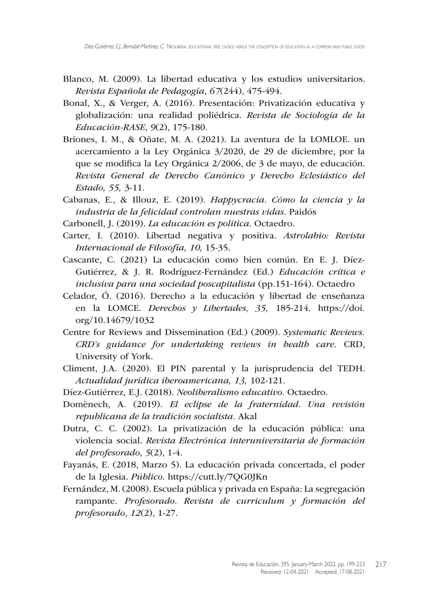- Blanco, M. (2009). La libertad educativa y los estudios universitarios. *Revista Española de Pedagogía*, *67*(244), 475-494.
- Bonal, X., & Verger, A. (2016). Presentación: Privatización educativa y globalización: una realidad poliédrica. *Revista de Sociología de la Educación-RASE*, *9*(2), 175-180.
- Briones, I. M., & Oñate, M. A. (2021). La aventura de la LOMLOE. un acercamiento a la Ley Orgánica 3/2020, de 29 de diciembre, por la que se modifica la Ley Orgánica 2/2006, de 3 de mayo, de educación. *Revista General de Derecho Canónico y Derecho Eclesiástico del Estado, 55,* 3-11.
- Cabanas, E., & Illouz, E. (2019). *Happycracia. Cómo la ciencia y la industria de la felicidad controlan nuestras vidas.* Paidós
- Carbonell, J. (2019). *La educación es política*. Octaedro.
- Carter, I. (2010). Libertad negativa y positiva. *Astrolabio: Revista Internacional de Filosofía, 10,* 15-35.
- Cascante, C. (2021) La educación como bien común. En E. J. Díez-Gutiérrez, & J. R. Rodríguez-Fernández (Ed.) *Educación crítica e inclusiva para una sociedad poscapitalista* (pp.151-164). Octaedro
- Celador, Ó. (2016). Derecho a la educación y libertad de enseñanza en la LOMCE. *Derechos y Libertades, 35,* 185-214. [https://doi.](https://doi.org/10.14679/1032) [org/10.14679/1032](https://doi.org/10.14679/1032)
- Centre for Reviews and Dissemination (Ed.) (2009). *Systematic Reviews. CRD's guidance for undertaking reviews in health care*. CRD, University of York.
- Climent, J.A. (2020). El PIN parental y la jurisprudencia del TEDH. *Actualidad jurídica iberoamericana, 13,* 102-121.
- Díez-Gutiérrez, E.J. (2018). *Neoliberalismo educativo*. Octaedro.
- Domènech, A. (2019). *El eclipse de la fraternidad. Una revisión republicana de la tradición socialista.* Akal
- Dutra, C. C. (2002). La privatización de la educación pública: una violencia social. *Revista Electrónica interuniversitaria de formación del profesorado*, *5*(2), 1-4.
- Fayanás, E. (2018, Marzo 5). La educación privada concertada, el poder de la Iglesia. *Público*. <https://cutt.ly/7QG0JKn>
- Fernández, M. (2008). Escuela pública y privada en España: La segregación rampante. *Profesorado. Revista de curriculum y formación del profesorado*, *12*(2), 1-27.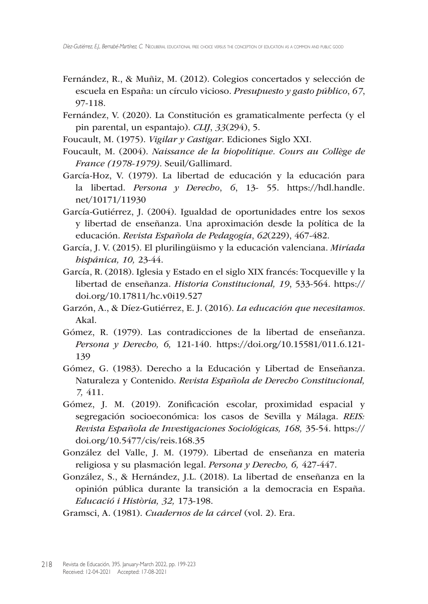- Fernández, R., & Muñiz, M. (2012). Colegios concertados y selección de escuela en España: un círculo vicioso. *Presupuesto y gasto público*, *67*, 97-118.
- Fernández, V. (2020). La Constitución es gramaticalmente perfecta (y el pin parental, un espantajo). *CLIJ*, *33*(294), 5.
- Foucault, M. (1975). *Vigilar y Castigar*. Ediciones Siglo XXI.
- Foucault, M. (2004). *Naissance de la biopolitique. Cours au Collège de France (1978-1979)*. Seuil/Gallimard.
- García-Hoz, V. (1979). La libertad de educación y la educación para la libertad. *Persona y Derecho*, *6*, 13- 55. [https://hdl.handle.](https://hdl.handle.net/10171/11930) [net/10171/11930](https://hdl.handle.net/10171/11930)
- García-Gutiérrez, J. (2004). Igualdad de oportunidades entre los sexos y libertad de enseñanza. Una aproximación desde la política de la educación. *Revista Española de Pedagogía*, *62*(229), 467-482.
- García, J. V. (2015). El plurilingüismo y la educación valenciana. *Miríada hispánica, 10,* 23-44.
- García, R. (2018). Iglesia y Estado en el siglo XIX francés: Tocqueville y la libertad de enseñanza. *Historia Constitucional, 19*, 533-564. [https://](https://doi.org/10.17811/hc.v0i19.527) [doi.org/10.17811/hc.v0i19.527](https://doi.org/10.17811/hc.v0i19.527)
- Garzón, A., & Díez-Gutiérrez, E. J. (2016). *La educación que necesitamos*. Akal.
- Gómez, R. (1979). Las contradicciones de la libertad de enseñanza. *Persona y Derecho, 6,* 121-140. <https://doi.org/10.15581/011.6.121>- 139
- Gómez, G. (1983). Derecho a la Educación y Libertad de Enseñanza. Naturaleza y Contenido. *Revista Española de Derecho Constitucional, 7,* 411.
- Gómez, J. M. (2019). Zonificación escolar, proximidad espacial y segregación socioeconómica: los casos de Sevilla y Málaga. *REIS: Revista Española de Investigaciones Sociológicas, 168,* 35-54. [https://](https://doi.org/10.5477/cis/reis.168.35) [doi.org/10.5477/cis/reis.168.35](https://doi.org/10.5477/cis/reis.168.35)
- González del Valle, J. M. (1979). Libertad de enseñanza en materia religiosa y su plasmación legal. *Persona y Derecho, 6,* 427-447.
- González, S., & Hernández, J.L. (2018). La libertad de enseñanza en la opinión pública durante la transición a la democracia en España. *Educació i Història, 32,* 173-198.

Gramsci, A. (1981). *Cuadernos de la cárcel* (vol. 2). Era.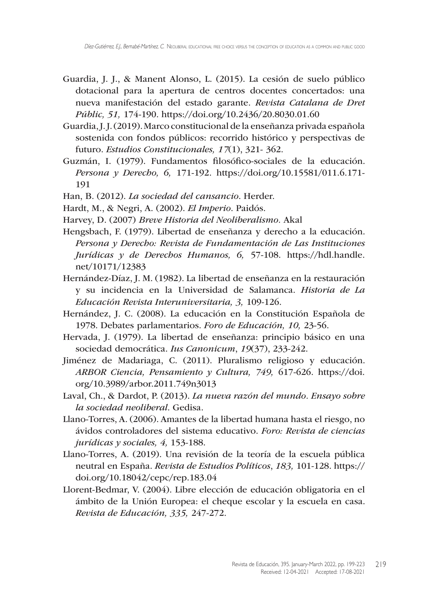- Guardia, J. J., & Manent Alonso, L. (2015). La cesión de suelo público dotacional para la apertura de centros docentes concertados: una nueva manifestación del estado garante. *Revista Catalana de Dret Públic, 51,* 174-190. <https://doi.org/10.2436/20.8030.01.60>
- Guardia, J. J. (2019). Marco constitucional de la enseñanza privada española sostenida con fondos públicos: recorrido histórico y perspectivas de futuro. *Estudios Constitucionales, 17*(1), 321- 362.
- Guzmán, I. (1979). Fundamentos filosófico-sociales de la educación. *Persona y Derecho, 6,* 171-192. <https://doi.org/10.15581/011.6.171>- 191
- Han, B. (2012). *La sociedad del cansancio*. Herder.
- Hardt, M., & Negri, A. (2002). *El Imperio*. Paidós.
- Harvey, D. (2007) *Breve Historia del Neoliberalismo.* Akal
- Hengsbach, F. (1979). Libertad de enseñanza y derecho a la educación. *Persona y Derecho: Revista de Fundamentación de Las Instituciones Jurídicas y de Derechos Humanos, 6,* 57-108. [https://hdl.handle.](https://hdl.handle.net/10171/12383) [net/10171/12383](https://hdl.handle.net/10171/12383)
- Hernández-Díaz, J. M. (1982). La libertad de enseñanza en la restauración y su incidencia en la Universidad de Salamanca. *Historia de La Educación Revista Interuniversitaria, 3,* 109-126.
- Hernández, J. C. (2008). La educación en la Constitución Española de 1978. Debates parlamentarios. *Foro de Educación, 10,* 23-56.
- Hervada, J. (1979). La libertad de enseñanza: principio básico en una sociedad democrática. *Ius Canonicum*, *19*(37), 233-242.
- Jiménez de Madariaga, C. (2011). Pluralismo religioso y educación. *ARBOR Ciencia, Pensamiento y Cultura, 749,* 617-626. [https://doi.](https://doi.org/10.3989/arbor.2011.749n3013) [org/10.3989/arbor.2011.749n3013](https://doi.org/10.3989/arbor.2011.749n3013)
- Laval, Ch., & Dardot, P. (2013). *La nueva razón del mundo. Ensayo sobre la sociedad neoliberal*. Gedisa.
- Llano-Torres, A. (2006). Amantes de la libertad humana hasta el riesgo, no ávidos controladores del sistema educativo. *Foro: Revista de ciencias jurídicas y sociales, 4,* 153-188.
- Llano-Torres, A. (2019). Una revisión de la teoría de la escuela pública neutral en España. *Revista de Estudios Políticos*, *183,* 101-128. [https://](https://doi.org/10.18042/cepc/rep.183.04) [doi.org/10.18042/cepc/rep.183.04](https://doi.org/10.18042/cepc/rep.183.04)
- Llorent-Bedmar, V. (2004). Libre elección de educación obligatoria en el ámbito de la Unión Europea: el cheque escolar y la escuela en casa. *Revista de Educación, 335,* 247-272.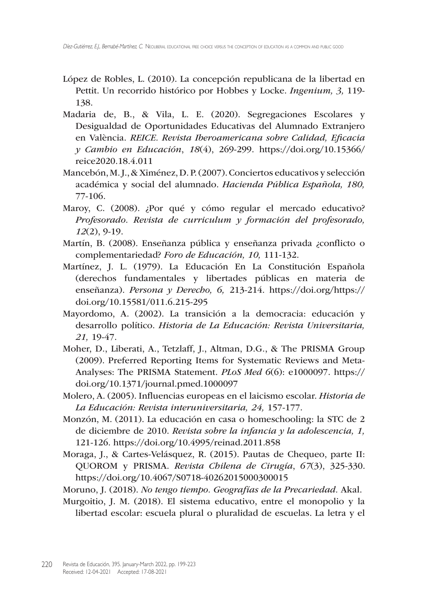- López de Robles, L. (2010). La concepción republicana de la libertad en Pettit. Un recorrido histórico por Hobbes y Locke. *Ingenium, 3,* 119- 138.
- Madaria de, B., & Vila, L. E. (2020). Segregaciones Escolares y Desigualdad de Oportunidades Educativas del Alumnado Extranjero en València. *REICE. Revista Iberoamericana sobre Calidad, Eficacia y Cambio en Educación*, *18*(4), 269-299. [https://doi.org/10.15366/](https://doi.org/10.15366/reice2020.18.4.011) [reice2020.18.4.011](https://doi.org/10.15366/reice2020.18.4.011)
- Mancebón, M. J., & Ximénez, D. P. (2007). Conciertos educativos y selección académica y social del alumnado. *Hacienda Pública Española, 180,* 77-106.
- Maroy, C. (2008). ¿Por qué y cómo regular el mercado educativo? *Profesorado. Revista de curriculum y formación del profesorado, 12*(2), 9-19.
- Martín, B. (2008). Enseñanza pública y enseñanza privada ¿conflicto o complementariedad? *Foro de Educación, 10,* 111-132.
- Martínez, J. L. (1979). La Educación En La Constitución Española (derechos fundamentales y libertades públicas en materia de enseñanza). *Persona y Derecho, 6,* 213-214. <https://doi.org/https>:// <doi.org>/10.15581/011.6.215-295
- Mayordomo, A. (2002). La transición a la democracia: educación y desarrollo político. *Historia de La Educación: Revista Universitaria, 21,* 19-47.
- Moher, D., Liberati, A., Tetzlaff, J., Altman, D.G., & The PRISMA Group (2009). Preferred Reporting Items for Systematic Reviews and Meta-Analyses: The PRISMA Statement. *PLoS Med 6*(6): e1000097. [https://](https://doi.org/10.1371/journal.pmed.1000097) [doi.org/10.1371/journal.pmed.1000097](https://doi.org/10.1371/journal.pmed.1000097)
- Molero, A. (2005). Influencias europeas en el laicismo escolar. *Historia de La Educación: Revista interuniversitaria, 24,* 157-177.
- Monzón, M. (2011). La educación en casa o homeschooling: la STC de 2 de diciembre de 2010. *Revista sobre la infancia y la adolescencia, 1,* 121-126. <https://doi.org/10.4995/reinad.2011.858>
- Moraga, J., & Cartes-Velásquez, R. (2015). Pautas de Chequeo, parte II: QUOROM y PRISMA. *Revista Chilena de Cirugía*, *67*(3), 325-330. <https://doi.org/10.4067/S0718>-40262015000300015
- Moruno, J. (2018). *No tengo tiempo. Geografías de la Precariedad.* Akal.
- Murgoitio, J. M. (2018). El sistema educativo, entre el monopolio y la libertad escolar: escuela plural o pluralidad de escuelas. La letra y el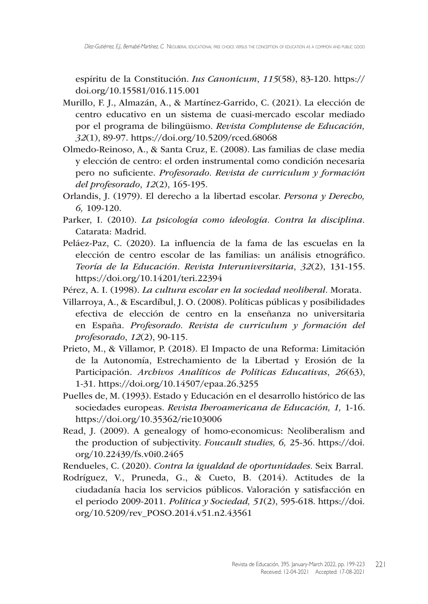espíritu de la Constitución. *Ius Canonicum*, *115*(58), 83-120. [https://](https://doi.org/10.15581/016.115.001) [doi.org/10.15581/016.115.001](https://doi.org/10.15581/016.115.001)

- Murillo, F. J., Almazán, A., & Martínez-Garrido, C. (2021). La elección de centro educativo en un sistema de cuasi-mercado escolar mediado por el programa de bilingüismo. *Revista Complutense de Educación, 32*(1), 89-97. <https://doi.org/10.5209/rced.68068>
- Olmedo-Reinoso, A., & Santa Cruz, E. (2008). Las familias de clase media y elección de centro: el orden instrumental como condición necesaria pero no suficiente. *Profesorado. Revista de curriculum y formación del profesorado*, *12*(2), 165-195.
- Orlandis, J. (1979). El derecho a la libertad escolar. *Persona y Derecho, 6,* 109-120.
- Parker, I. (2010). *La psicología como ideología. Contra la disciplina.*  Catarata: Madrid.
- Peláez-Paz, C. (2020). La influencia de la fama de las escuelas en la elección de centro escolar de las familias: un análisis etnográfico. *Teoría de la Educación. Revista Interuniversitaria*, *32*(2), 131-155. <https://doi.org/10.14201/teri.22394>
- Pérez, A. I. (1998). *La cultura escolar en la sociedad neoliberal.* Morata.
- Villarroya, A., & Escardíbul, J. O. (2008). Políticas públicas y posibilidades efectiva de elección de centro en la enseñanza no universitaria en España. *Profesorado. Revista de curriculum y formación del profesorado*, *12*(2), 90-115.
- Prieto, M., & Villamor, P. (2018). El Impacto de una Reforma: Limitación de la Autonomía, Estrechamiento de la Libertad y Erosión de la Participación. *Archivos Analíticos de Políticas Educativas*, *26*(63), 1-31. <https://doi.org/10.14507/epaa.26.3255>
- Puelles de, M. (1993). Estado y Educación en el desarrollo histórico de las sociedades europeas. *Revista Iberoamericana de Educación, 1,* 1-16. <https://doi.org/10.35362/rie103006>
- Read, J. (2009). A genealogy of homo-economicus: Neoliberalism and the production of subjectivity. *Foucault studies, 6,* 25-36. [https://doi.](https://doi.org/10.22439/fs.v0i0.2465) [org/10.22439/fs.v0i0.2465](https://doi.org/10.22439/fs.v0i0.2465)

Rendueles, C. (2020). *Contra la igualdad de oportunidades.* Seix Barral.

Rodríguez, V., Pruneda, G., & Cueto, B. (2014). Actitudes de la ciudadanía hacia los servicios públicos. Valoración y satisfacción en el periodo 2009-2011*. Política y Sociedad, 51*(2), 595-618. [https://doi.](https://doi.org/10.5209/rev_POSO.2014.v51.n2.43561) [org/10.5209/rev\\_POSO.2014.v51.n2.43561](https://doi.org/10.5209/rev_POSO.2014.v51.n2.43561)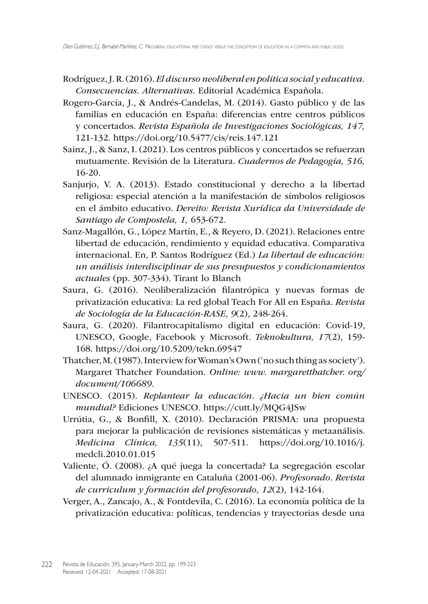- Rodríguez, J. R. (2016). *El discurso neoliberal en política social y educativa. Consecuencias. Alternativas.* Editorial Académica Española.
- Rogero-García, J., & Andrés-Candelas, M. (2014). Gasto público y de las familias en educación en España: diferencias entre centros públicos y concertados. *Revista Española de Investigaciones Sociológicas, 147,*  121-132. <https://doi.org/10.5477/cis/reis.147.121>
- Sainz, J., & Sanz, I. (2021). Los centros públicos y concertados se refuerzan mutuamente. Revisión de la Literatura. *Cuadernos de Pedagogía, 516,* 16-20.
- Sanjurjo, V. A. (2013). Estado constitucional y derecho a la libertad religiosa: especial atención a la manifestación de símbolos religiosos en el ámbito educativo. *Dereito: Revista Xurídica da Universidade de Santiago de Compostela, 1,* 653-672.
- Sanz-Magallón, G., López Martín, E., & Reyero, D. (2021). Relaciones entre libertad de educación, rendimiento y equidad educativa. Comparativa internacional. En, P. Santos Rodríguez (Ed.) *La libertad de educación: un análisis interdisciplinar de sus presupuestos y condicionamientos actuales* (pp. 307-334). Tirant lo Blanch
- Saura, G. (2016). Neoliberalización filantrópica y nuevas formas de privatización educativa: La red global Teach For All en España. *Revista de Sociología de la Educación-RASE*, *9*(2), 248-264.
- Saura, G. (2020). Filantrocapitalismo digital en educación: Covid-19, UNESCO, Google, Facebook y Microsoft. *Teknokultura, 17*(2), 159- 168. <https://doi.org/10.5209/tekn.69547>
- Thatcher, M. (1987). Interview for Woman's Own ('no such thing as society'). Margaret Thatcher Foundation. *Online: www. margaretthatcher. org/ document/106689*.
- UNESCO. (2015). *Replantear la educación. ¿Hacia un bien común mundial?* Ediciones UNESCO.<https://cutt.ly/MQG4JSw>
- Urrútia, G., & Bonfill, X. (2010). Declaración PRISMA: una propuesta para mejorar la publicación de revisiones sistemáticas y metaanálisis. *Medicina Clínica, 135*(11), 507-511. [https://doi.org/10.1016/j.](https://doi.org/10.1016/j.medcli.2010.01.015) [medcli.2010.01.015](https://doi.org/10.1016/j.medcli.2010.01.015)
- Valiente, Ó. (2008). ¿A qué juega la concertada? La segregación escolar del alumnado inmigrante en Cataluña (2001-06). *Profesorado. Revista de curriculum y formación del profesorado*, *12*(2), 142-164.
- Verger, A., Zancajo, A., & Fontdevila, C. (2016). La economía política de la privatización educativa: políticas, tendencias y trayectorias desde una